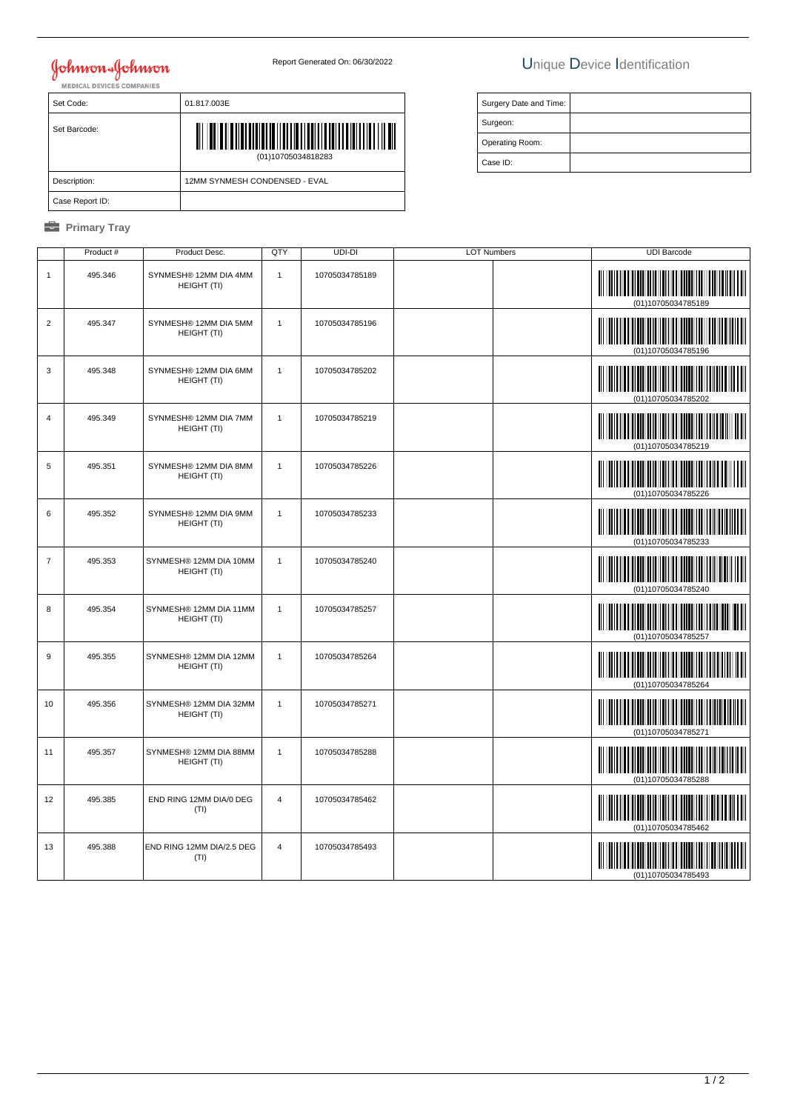# **Johnson & Johnson**

Set Code: 01.817.003E

Description: 12MM SYNMESH CONDENSED - EVAL

(01)10705034818283

### Report Generated On: 06/30/2022 Unique Device Identification

|                 | Surgery Date and Time: |  |
|-----------------|------------------------|--|
|                 | Surgeon:               |  |
| Operating Room: |                        |  |
| Case ID:        |                        |  |
|                 |                        |  |

|  | Primary |  |
|--|---------|--|
|--|---------|--|

Case Report ID:

Set Barcode:

|                | Product # | Product Desc.                         | QTY            | UDI-DI         | <b>LOT Numbers</b> | <b>UDI Barcode</b> |
|----------------|-----------|---------------------------------------|----------------|----------------|--------------------|--------------------|
| $\mathbf{1}$   | 495.346   | SYNMESH® 12MM DIA 4MM<br>HEIGHT (TI)  | $\mathbf{1}$   | 10705034785189 |                    | (01)10705034785189 |
| $\overline{2}$ | 495.347   | SYNMESH® 12MM DIA 5MM<br>HEIGHT (TI)  | $\mathbf{1}$   | 10705034785196 |                    | (01)10705034785196 |
| $\mathbf{3}$   | 495.348   | SYNMESH® 12MM DIA 6MM<br>HEIGHT (TI)  | $\mathbf{1}$   | 10705034785202 |                    | (01)10705034785202 |
| $\overline{4}$ | 495.349   | SYNMESH® 12MM DIA 7MM<br>HEIGHT (TI)  | $\mathbf{1}$   | 10705034785219 |                    | (01)10705034785219 |
| 5              | 495.351   | SYNMESH® 12MM DIA 8MM<br>HEIGHT (TI)  | $\mathbf{1}$   | 10705034785226 |                    | (01)10705034785226 |
| 6              | 495.352   | SYNMESH® 12MM DIA 9MM<br>HEIGHT (TI)  | $\overline{1}$ | 10705034785233 |                    | (01)10705034785233 |
| $\overline{7}$ | 495.353   | SYNMESH® 12MM DIA 10MM<br>HEIGHT (TI) | $\mathbf{1}$   | 10705034785240 |                    | (01)10705034785240 |
| 8              | 495.354   | SYNMESH® 12MM DIA 11MM<br>HEIGHT (TI) | $\overline{1}$ | 10705034785257 |                    | (01)10705034785257 |
| 9              | 495.355   | SYNMESH® 12MM DIA 12MM<br>HEIGHT (TI) | $\mathbf{1}$   | 10705034785264 |                    | (01)10705034785264 |
| 10             | 495.356   | SYNMESH® 12MM DIA 32MM<br>HEIGHT (TI) | $\mathbf{1}$   | 10705034785271 |                    | (01)10705034785271 |
| 11             | 495.357   | SYNMESH® 12MM DIA 88MM<br>HEIGHT (TI) | $\mathbf{1}$   | 10705034785288 |                    | (01)10705034785288 |
| 12             | 495.385   | END RING 12MM DIA/0 DEG<br>(TI)       | $\overline{4}$ | 10705034785462 |                    | (01)10705034785462 |
| 13             | 495.388   | END RING 12MM DIA/2.5 DEG<br>(TI)     | $\overline{4}$ | 10705034785493 |                    | (01)10705034785493 |